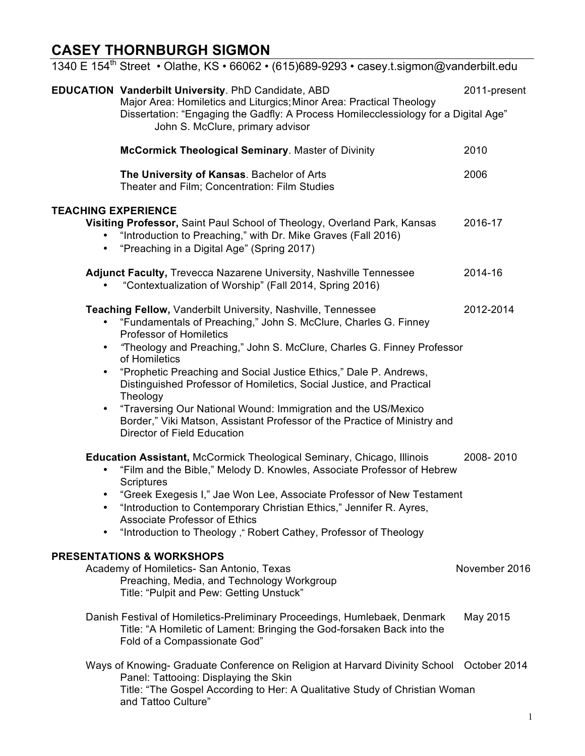## **CASEY THORNBURGH SIGMON**

|                                                  | 1340 E 154 <sup>th</sup> Street • Olathe, KS • 66062 • (615)689-9293 • casey t sigmon@vanderbilt edu                                                                                                                                                                                                                                                                                                                                                                                                                                                                                               |               |
|--------------------------------------------------|----------------------------------------------------------------------------------------------------------------------------------------------------------------------------------------------------------------------------------------------------------------------------------------------------------------------------------------------------------------------------------------------------------------------------------------------------------------------------------------------------------------------------------------------------------------------------------------------------|---------------|
|                                                  | <b>EDUCATION Vanderbilt University. PhD Candidate, ABD</b><br>Major Area: Homiletics and Liturgics; Minor Area: Practical Theology<br>Dissertation: "Engaging the Gadfly: A Process Homilecclessiology for a Digital Age"<br>John S. McClure, primary advisor                                                                                                                                                                                                                                                                                                                                      | 2011-present  |
|                                                  | <b>McCormick Theological Seminary. Master of Divinity</b>                                                                                                                                                                                                                                                                                                                                                                                                                                                                                                                                          | 2010          |
|                                                  | The University of Kansas. Bachelor of Arts<br>Theater and Film; Concentration: Film Studies                                                                                                                                                                                                                                                                                                                                                                                                                                                                                                        | 2006          |
| <b>TEACHING EXPERIENCE</b><br>$\bullet$          | Visiting Professor, Saint Paul School of Theology, Overland Park, Kansas<br>"Introduction to Preaching," with Dr. Mike Graves (Fall 2016)<br>"Preaching in a Digital Age" (Spring 2017)                                                                                                                                                                                                                                                                                                                                                                                                            | 2016-17       |
|                                                  | Adjunct Faculty, Trevecca Nazarene University, Nashville Tennessee<br>"Contextualization of Worship" (Fall 2014, Spring 2016)                                                                                                                                                                                                                                                                                                                                                                                                                                                                      | 2014-16       |
| $\bullet$<br>$\bullet$<br>$\bullet$<br>$\bullet$ | Teaching Fellow, Vanderbilt University, Nashville, Tennessee<br>"Fundamentals of Preaching," John S. McClure, Charles G. Finney<br><b>Professor of Homiletics</b><br>"Theology and Preaching," John S. McClure, Charles G. Finney Professor<br>of Homiletics<br>"Prophetic Preaching and Social Justice Ethics," Dale P. Andrews,<br>Distinguished Professor of Homiletics, Social Justice, and Practical<br>Theology<br>"Traversing Our National Wound: Immigration and the US/Mexico<br>Border," Viki Matson, Assistant Professor of the Practice of Ministry and<br>Director of Field Education | 2012-2014     |
| $\bullet$<br>$\bullet$<br>٠                      | Education Assistant, McCormick Theological Seminary, Chicago, Illinois<br>"Film and the Bible," Melody D. Knowles, Associate Professor of Hebrew<br>Scriptures<br>"Greek Exegesis I," Jae Won Lee, Associate Professor of New Testament<br>"Introduction to Contemporary Christian Ethics," Jennifer R. Ayres,<br><b>Associate Professor of Ethics</b><br>"Introduction to Theology, "Robert Cathey, Professor of Theology                                                                                                                                                                         | 2008-2010     |
|                                                  | <b>PRESENTATIONS &amp; WORKSHOPS</b><br>Academy of Homiletics- San Antonio, Texas<br>Preaching, Media, and Technology Workgroup<br>Title: "Pulpit and Pew: Getting Unstuck"                                                                                                                                                                                                                                                                                                                                                                                                                        | November 2016 |
|                                                  | Danish Festival of Homiletics-Preliminary Proceedings, Humlebaek, Denmark<br>Title: "A Homiletic of Lament: Bringing the God-forsaken Back into the<br>Fold of a Compassionate God"                                                                                                                                                                                                                                                                                                                                                                                                                | May 2015      |
|                                                  | Ways of Knowing- Graduate Conference on Religion at Harvard Divinity School<br>Panel: Tattooing: Displaying the Skin<br>Title: "The Gospel According to Her: A Qualitative Study of Christian Woman<br>and Tattoo Culture"                                                                                                                                                                                                                                                                                                                                                                         | October 2014  |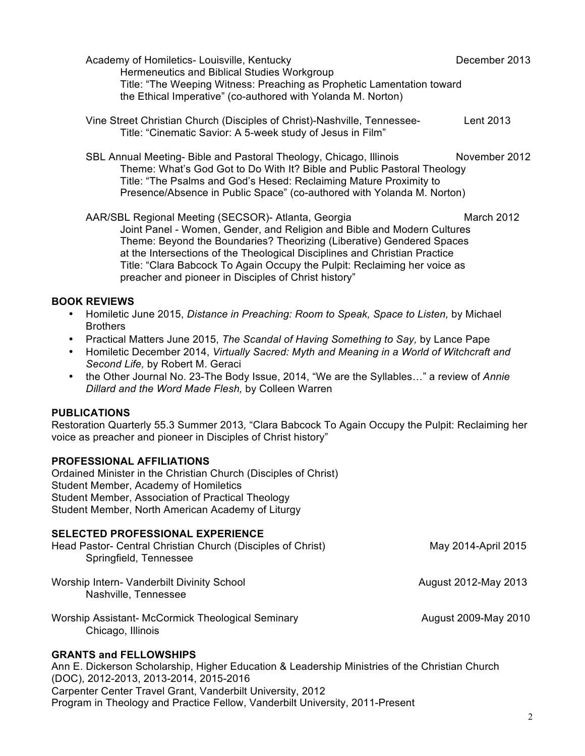|                | Academy of Homiletics- Louisville, Kentucky<br>Hermeneutics and Biblical Studies Workgroup<br>Title: "The Weeping Witness: Preaching as Prophetic Lamentation toward<br>the Ethical Imperative" (co-authored with Yolanda M. Norton)                                                                                                                                                                                                                                                                    | December 2013        |
|----------------|---------------------------------------------------------------------------------------------------------------------------------------------------------------------------------------------------------------------------------------------------------------------------------------------------------------------------------------------------------------------------------------------------------------------------------------------------------------------------------------------------------|----------------------|
|                | Vine Street Christian Church (Disciples of Christ)-Nashville, Tennessee-<br>Title: "Cinematic Savior: A 5-week study of Jesus in Film"                                                                                                                                                                                                                                                                                                                                                                  | Lent 2013            |
|                | SBL Annual Meeting- Bible and Pastoral Theology, Chicago, Illinois<br>Theme: What's God Got to Do With It? Bible and Public Pastoral Theology<br>Title: "The Psalms and God's Hesed: Reclaiming Mature Proximity to<br>Presence/Absence in Public Space" (co-authored with Yolanda M. Norton)                                                                                                                                                                                                           | November 2012        |
|                | AAR/SBL Regional Meeting (SECSOR)- Atlanta, Georgia<br>Joint Panel - Women, Gender, and Religion and Bible and Modern Cultures<br>Theme: Beyond the Boundaries? Theorizing (Liberative) Gendered Spaces<br>at the Intersections of the Theological Disciplines and Christian Practice<br>Title: "Clara Babcock To Again Occupy the Pulpit: Reclaiming her voice as<br>preacher and pioneer in Disciples of Christ history"                                                                              | March 2012           |
| ٠<br>$\bullet$ | <b>BOOK REVIEWS</b><br>Homiletic June 2015, Distance in Preaching: Room to Speak, Space to Listen, by Michael<br><b>Brothers</b><br>Practical Matters June 2015, The Scandal of Having Something to Say, by Lance Pape<br>Homiletic December 2014, Virtually Sacred: Myth and Meaning in a World of Witchcraft and<br>Second Life, by Robert M. Geraci<br>the Other Journal No. 23-The Body Issue, 2014, "We are the Syllables" a review of Annie<br>Dillard and the Word Made Flesh, by Colleen Warren |                      |
|                | <b>PUBLICATIONS</b><br>Restoration Quarterly 55.3 Summer 2013, "Clara Babcock To Again Occupy the Pulpit: Reclaiming her<br>voice as preacher and pioneer in Disciples of Christ history"                                                                                                                                                                                                                                                                                                               |                      |
|                | <b>PROFESSIONAL AFFILIATIONS</b><br>Ordained Minister in the Christian Church (Disciples of Christ)<br>Student Member, Academy of Homiletics<br>Student Member, Association of Practical Theology<br>Student Member, North American Academy of Liturgy                                                                                                                                                                                                                                                  |                      |
|                | <b>SELECTED PROFESSIONAL EXPERIENCE</b><br>Head Pastor- Central Christian Church (Disciples of Christ)<br>Springfield, Tennessee                                                                                                                                                                                                                                                                                                                                                                        | May 2014-April 2015  |
|                | Worship Intern- Vanderbilt Divinity School<br>Nashville, Tennessee                                                                                                                                                                                                                                                                                                                                                                                                                                      | August 2012-May 2013 |
|                | Worship Assistant- McCormick Theological Seminary<br>Chicago, Illinois                                                                                                                                                                                                                                                                                                                                                                                                                                  | August 2009-May 2010 |
|                |                                                                                                                                                                                                                                                                                                                                                                                                                                                                                                         |                      |

## **GRANTS and FELLOWSHIPS**

Ann E. Dickerson Scholarship, Higher Education & Leadership Ministries of the Christian Church (DOC), 2012-2013, 2013-2014, 2015-2016 Carpenter Center Travel Grant, Vanderbilt University, 2012 Program in Theology and Practice Fellow, Vanderbilt University, 2011-Present